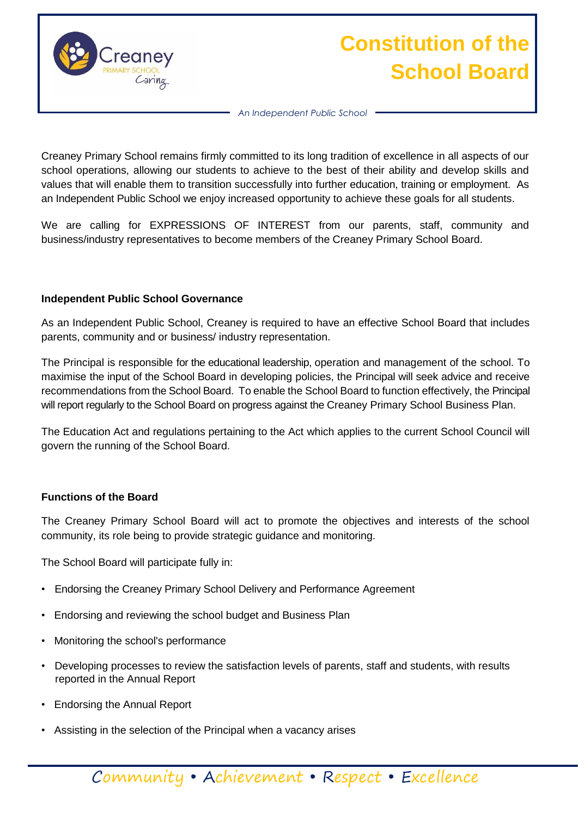

# **Constitution of the School Board**

*An Independent Public School*

Creaney Primary School remains firmly committed to its long tradition of excellence in all aspects of our school operations, allowing our students to achieve to the best of their ability and develop skills and values that will enable them to transition successfully into further education, training or employment. As an Independent Public School we enjoy increased opportunity to achieve these goals for all students.

We are calling for EXPRESSIONS OF INTEREST from our parents, staff, community and business/industry representatives to become members of the Creaney Primary School Board.

### **Independent Public School Governance**

As an Independent Public School, Creaney is required to have an effective School Board that includes parents, community and or business/ industry representation.

The Principal is responsible for the educational leadership, operation and management of the school. To maximise the input of the School Board in developing policies, the Principal will seek advice and receive recommendations from the School Board. To enable the School Board to function effectively, the Principal will report regularly to the School Board on progress against the Creaney Primary School Business Plan.

The Education Act and regulations pertaining to the Act which applies to the current School Council will govern the running of the School Board.

## **Functions of the Board**

The Creaney Primary School Board will act to promote the objectives and interests of the school community, its role being to provide strategic guidance and monitoring.

The School Board will participate fully in:

- Endorsing the Creaney Primary School Delivery and Performance Agreement
- Endorsing and reviewing the school budget and Business Plan
- Monitoring the school's performance
- Developing processes to review the satisfaction levels of parents, staff and students, with results reported in the Annual Report
- Endorsing the Annual Report
- Assisting in the selection of the Principal when a vacancy arises

Community • Achievement • Respect • Excellence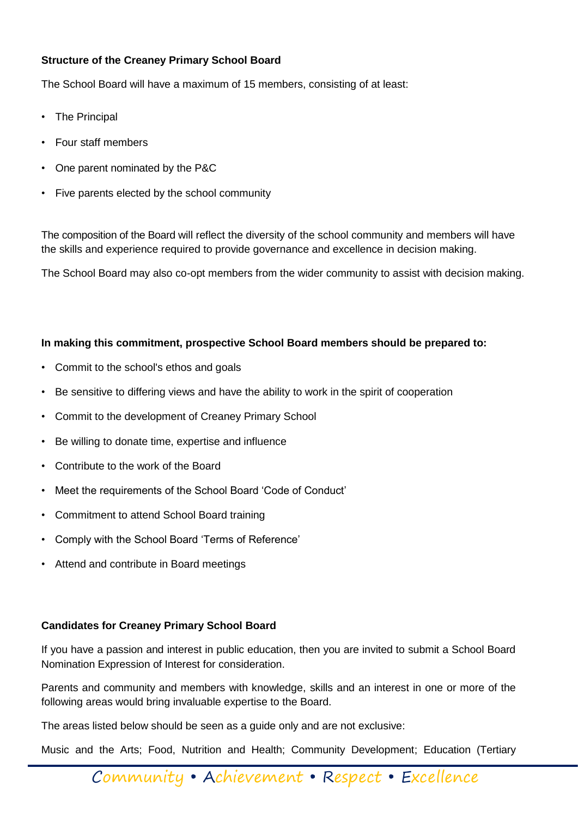## **Structure of the Creaney Primary School Board**

The School Board will have a maximum of 15 members, consisting of at least:

- The Principal
- Four staff members
- One parent nominated by the P&C
- Five parents elected by the school community

The composition of the Board will reflect the diversity of the school community and members will have the skills and experience required to provide governance and excellence in decision making.

The School Board may also co-opt members from the wider community to assist with decision making.

#### **In making this commitment, prospective School Board members should be prepared to:**

- Commit to the school's ethos and goals
- Be sensitive to differing views and have the ability to work in the spirit of cooperation
- Commit to the development of Creaney Primary School
- Be willing to donate time, expertise and influence
- Contribute to the work of the Board
- Meet the requirements of the School Board 'Code of Conduct'
- Commitment to attend School Board training
- Comply with the School Board 'Terms of Reference'
- Attend and contribute in Board meetings

#### **Candidates for Creaney Primary School Board**

If you have a passion and interest in public education, then you are invited to submit a School Board Nomination Expression of Interest for consideration.

Parents and community and members with knowledge, skills and an interest in one or more of the following areas would bring invaluable expertise to the Board.

The areas listed below should be seen as a guide only and are not exclusive:

Music and the Arts; Food, Nutrition and Health; Community Development; Education (Tertiary